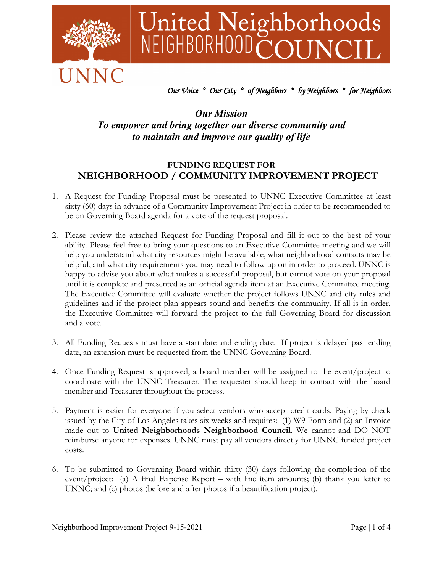

# United Neighborhoods<br>NEIGHBORHOODCOUNCIL

### *Our Voice \* Our City \* of Neighbors \* by Neighbors \* for Neighbors*

## *Our Mission To empower and bring together our diverse community and to maintain and improve our quality of life*

### **FUNDING REQUEST FOR NEIGHBORHOOD / COMMUNITY IMPROVEMENT PROJECT**

- 1. A Request for Funding Proposal must be presented to UNNC Executive Committee at least sixty (60) days in advance of a Community Improvement Project in order to be recommended to be on Governing Board agenda for a vote of the request proposal.
- 2. Please review the attached Request for Funding Proposal and fill it out to the best of your ability. Please feel free to bring your questions to an Executive Committee meeting and we will help you understand what city resources might be available, what neighborhood contacts may be helpful, and what city requirements you may need to follow up on in order to proceed. UNNC is happy to advise you about what makes a successful proposal, but cannot vote on your proposal until it is complete and presented as an official agenda item at an Executive Committee meeting. The Executive Committee will evaluate whether the project follows UNNC and city rules and guidelines and if the project plan appears sound and benefits the community. If all is in order, the Executive Committee will forward the project to the full Governing Board for discussion and a vote.
- 3. All Funding Requests must have a start date and ending date. If project is delayed past ending date, an extension must be requested from the UNNC Governing Board.
- 4. Once Funding Request is approved, a board member will be assigned to the event/project to coordinate with the UNNC Treasurer. The requester should keep in contact with the board member and Treasurer throughout the process.
- 5. Payment is easier for everyone if you select vendors who accept credit cards. Paying by check issued by the City of Los Angeles takes  $six$  weeks and requires: (1) W9 Form and (2) an Invoice made out to **United Neighborhoods Neighborhood Council**. We cannot and DO NOT reimburse anyone for expenses. UNNC must pay all vendors directly for UNNC funded project costs.
- 6. To be submitted to Governing Board within thirty (30) days following the completion of the event/project: (a) A final Expense Report – with line item amounts; (b) thank you letter to UNNC; and (c) photos (before and after photos if a beautification project).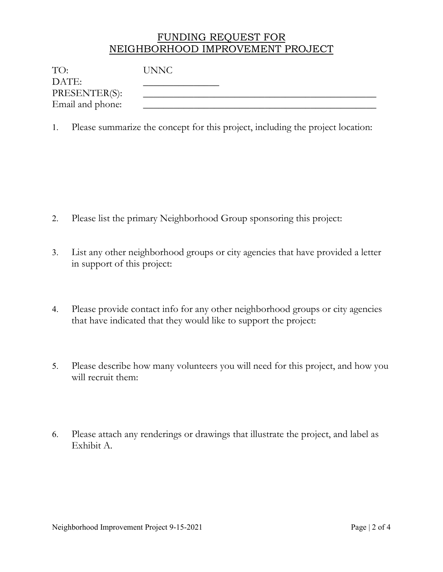# FUNDING REQUEST FOR NEIGHBORHOOD IMPROVEMENT PROJECT

| TO:              | <b>UNNC</b> |
|------------------|-------------|
| DATE:            |             |
| PRESENTER(S):    |             |
| Email and phone: |             |

1. Please summarize the concept for this project, including the project location:

- 2. Please list the primary Neighborhood Group sponsoring this project:
- 3. List any other neighborhood groups or city agencies that have provided a letter in support of this project:
- 4. Please provide contact info for any other neighborhood groups or city agencies that have indicated that they would like to support the project:
- 5. Please describe how many volunteers you will need for this project, and how you will recruit them:
- 6. Please attach any renderings or drawings that illustrate the project, and label as Exhibit A.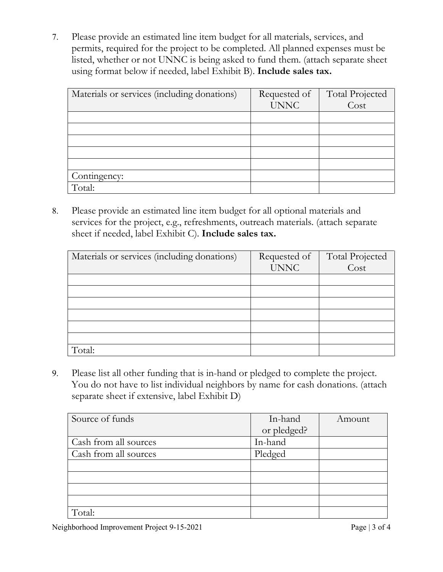7. Please provide an estimated line item budget for all materials, services, and permits, required for the project to be completed. All planned expenses must be listed, whether or not UNNC is being asked to fund them. (attach separate sheet using format below if needed, label Exhibit B). **Include sales tax.**

| Materials or services (including donations) | Requested of | <b>Total Projected</b> |
|---------------------------------------------|--------------|------------------------|
|                                             | <b>UNNC</b>  | Cost                   |
|                                             |              |                        |
|                                             |              |                        |
|                                             |              |                        |
|                                             |              |                        |
|                                             |              |                        |
| Contingency:                                |              |                        |
| Total:                                      |              |                        |

8. Please provide an estimated line item budget for all optional materials and services for the project, e.g., refreshments, outreach materials. (attach separate sheet if needed, label Exhibit C). **Include sales tax.**

| Materials or services (including donations) | Requested of | <b>Total Projected</b> |
|---------------------------------------------|--------------|------------------------|
|                                             | <b>UNNC</b>  | Cost                   |
|                                             |              |                        |
|                                             |              |                        |
|                                             |              |                        |
|                                             |              |                        |
|                                             |              |                        |
|                                             |              |                        |
| Total:                                      |              |                        |

9. Please list all other funding that is in-hand or pledged to complete the project. You do not have to list individual neighbors by name for cash donations. (attach separate sheet if extensive, label Exhibit D)

| Source of funds       | In-hand     | Amount |
|-----------------------|-------------|--------|
|                       | or pledged? |        |
| Cash from all sources | In-hand     |        |
| Cash from all sources | Pledged     |        |
|                       |             |        |
|                       |             |        |
|                       |             |        |
|                       |             |        |
| Total:                |             |        |